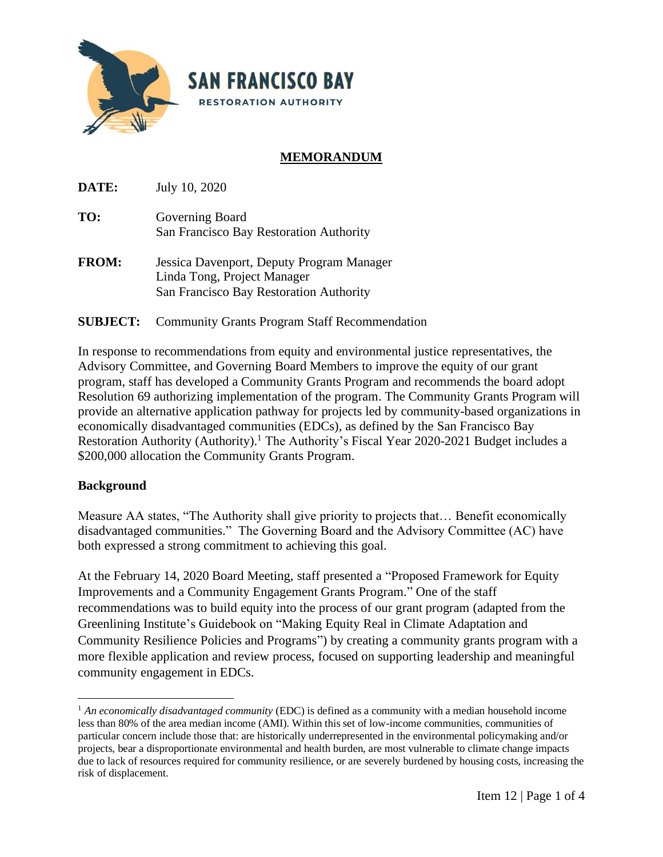

# **MEMORANDUM**

**DATE:** July 10, 2020

- **TO:** Governing Board San Francisco Bay Restoration Authority
- **FROM:** Jessica Davenport, Deputy Program Manager Linda Tong, Project Manager San Francisco Bay Restoration Authority

## **SUBJECT:** Community Grants Program Staff Recommendation

In response to recommendations from equity and environmental justice representatives, the Advisory Committee, and Governing Board Members to improve the equity of our grant program, staff has developed a Community Grants Program and recommends the board adopt Resolution 69 authorizing implementation of the program. The Community Grants Program will provide an alternative application pathway for projects led by community-based organizations in economically disadvantaged communities (EDCs), as defined by the San Francisco Bay Restoration Authority (Authority).<sup>1</sup> The Authority's Fiscal Year 2020-2021 Budget includes a \$200,000 allocation the Community Grants Program.

#### **Background**

Measure AA states, "The Authority shall give priority to projects that… Benefit economically disadvantaged communities." The Governing Board and the Advisory Committee (AC) have both expressed a strong commitment to achieving this goal.

At the February 14, 2020 Board Meeting, staff presented a "Proposed Framework for Equity Improvements and a Community Engagement Grants Program." One of the staff recommendations was to build equity into the process of our grant program (adapted from the Greenlining Institute's Guidebook on "Making Equity Real in Climate Adaptation and Community Resilience Policies and Programs") by creating a community grants program with a more flexible application and review process, focused on supporting leadership and meaningful community engagement in EDCs.

<sup>&</sup>lt;sup>1</sup> *An economically disadvantaged community* (EDC) is defined as a community with a median household income less than 80% of the area median income (AMI). Within this set of low-income communities, communities of particular concern include those that: are historically underrepresented in the environmental policymaking and/or projects, bear a disproportionate environmental and health burden, are most vulnerable to climate change impacts due to lack of resources required for community resilience, or are severely burdened by housing costs, increasing the risk of displacement.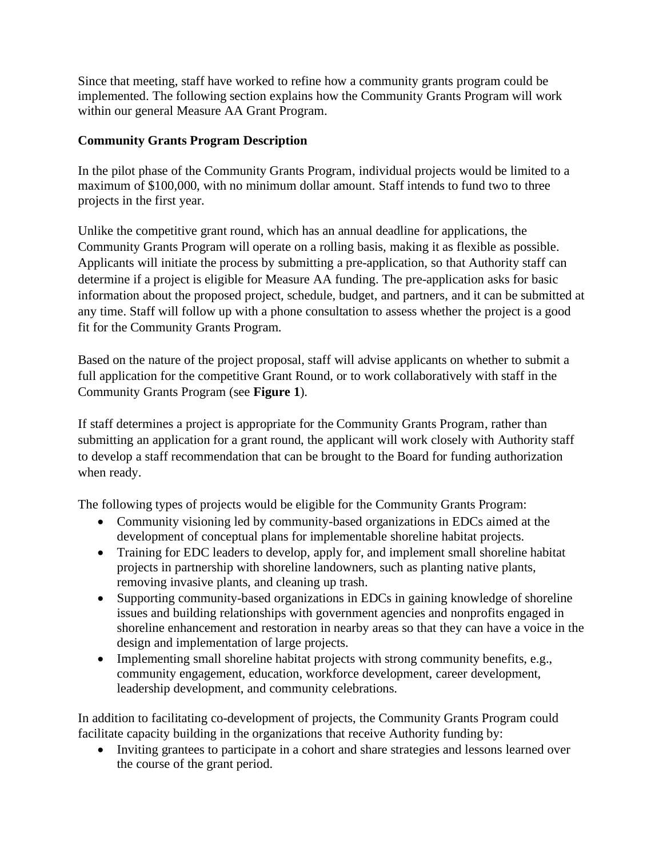Since that meeting, staff have worked to refine how a community grants program could be implemented. The following section explains how the Community Grants Program will work within our general Measure AA Grant Program.

## **Community Grants Program Description**

In the pilot phase of the Community Grants Program, individual projects would be limited to a maximum of \$100,000, with no minimum dollar amount. Staff intends to fund two to three projects in the first year.

Unlike the competitive grant round, which has an annual deadline for applications, the Community Grants Program will operate on a rolling basis, making it as flexible as possible. Applicants will initiate the process by submitting a pre-application, so that Authority staff can determine if a project is eligible for Measure AA funding. The pre-application asks for basic information about the proposed project, schedule, budget, and partners, and it can be submitted at any time. Staff will follow up with a phone consultation to assess whether the project is a good fit for the Community Grants Program.

Based on the nature of the project proposal, staff will advise applicants on whether to submit a full application for the competitive Grant Round, or to work collaboratively with staff in the Community Grants Program (see **Figure 1**).

If staff determines a project is appropriate for the Community Grants Program, rather than submitting an application for a grant round, the applicant will work closely with Authority staff to develop a staff recommendation that can be brought to the Board for funding authorization when ready.

The following types of projects would be eligible for the Community Grants Program:

- Community visioning led by community-based organizations in EDCs aimed at the development of conceptual plans for implementable shoreline habitat projects.
- Training for EDC leaders to develop, apply for, and implement small shoreline habitat projects in partnership with shoreline landowners, such as planting native plants, removing invasive plants, and cleaning up trash.
- Supporting community-based organizations in EDCs in gaining knowledge of shoreline issues and building relationships with government agencies and nonprofits engaged in shoreline enhancement and restoration in nearby areas so that they can have a voice in the design and implementation of large projects.
- Implementing small shoreline habitat projects with strong community benefits, e.g., community engagement, education, workforce development, career development, leadership development, and community celebrations.

In addition to facilitating co-development of projects, the Community Grants Program could facilitate capacity building in the organizations that receive Authority funding by:

• Inviting grantees to participate in a cohort and share strategies and lessons learned over the course of the grant period.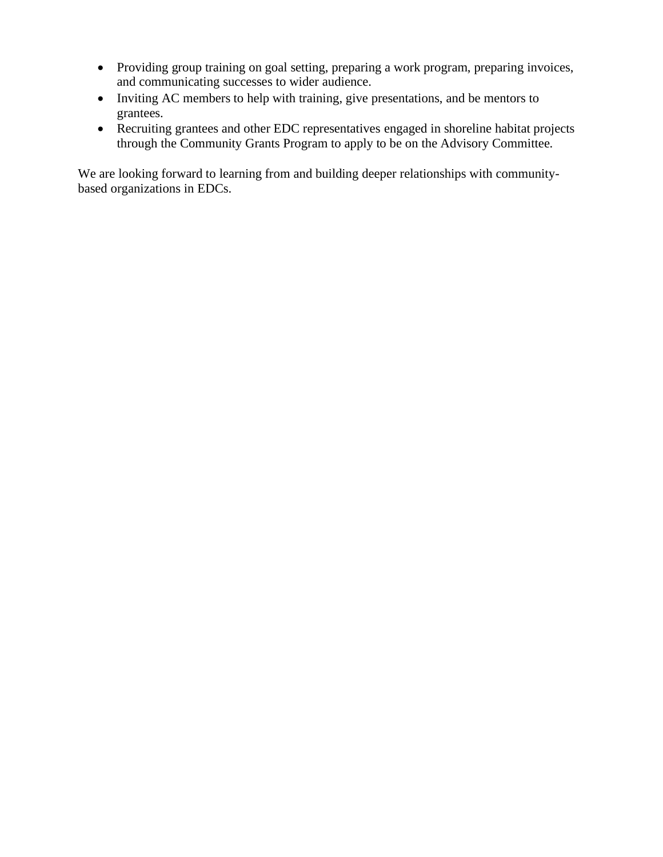- Providing group training on goal setting, preparing a work program, preparing invoices, and communicating successes to wider audience.
- Inviting AC members to help with training, give presentations, and be mentors to grantees.
- Recruiting grantees and other EDC representatives engaged in shoreline habitat projects through the Community Grants Program to apply to be on the Advisory Committee.

We are looking forward to learning from and building deeper relationships with communitybased organizations in EDCs.